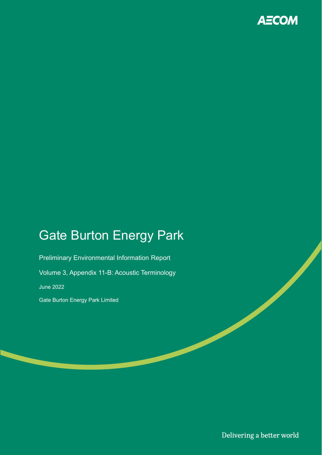

## Gate Burton Energy Park

Preliminary Environmental Information Report Volume 3, Appendix 11-B: Acoustic Terminology June 2022 Gate Burton Energy Park Limited

Delivering a better world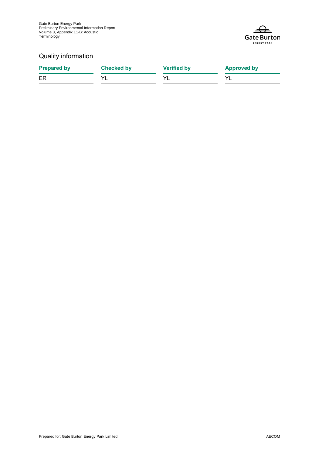Gate Burton Energy Park Preliminary Environmental Information Report Volume 3, Appendix 11-B: Acoustic Terminology



#### Quality information

| <b>Prepared by</b> | <b>Checked by</b> | <b>Verified by</b> | <b>Approved by</b> |
|--------------------|-------------------|--------------------|--------------------|
| ER                 |                   |                    |                    |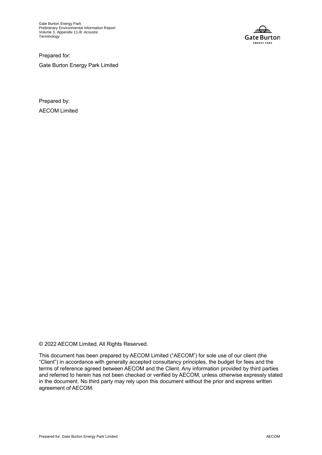Gate Burton Energy Park Preliminary Environmental Information Report Volume 3, Appendix 11-B: Acoustic **Terminology** 



Prepared for: Gate Burton Energy Park Limited

Prepared by: AECOM Limited

© 2022 AECOM Limited. All Rights Reserved.

This document has been prepared by AECOM Limited ("AECOM") for sole use of our client (the "Client") in accordance with generally accepted consultancy principles, the budget for fees and the terms of reference agreed between AECOM and the Client. Any information provided by third parties and referred to herein has not been checked or verified by AECOM, unless otherwise expressly stated in the document. No third party may rely upon this document without the prior and express written agreement of AECOM.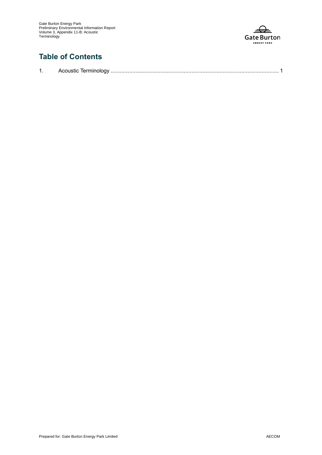

### **Table of Contents**

|--|--|--|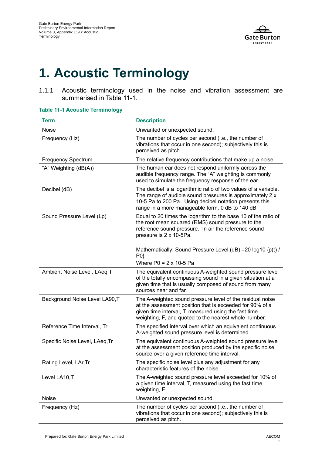

# **1. Acoustic Terminology**

1.1.1 Acoustic terminology used in the noise and vibration assessment are summarised in Table 11-1.

| Term                           | <b>Description</b>                                                                                                                                                                                                                          |
|--------------------------------|---------------------------------------------------------------------------------------------------------------------------------------------------------------------------------------------------------------------------------------------|
| Noise                          | Unwanted or unexpected sound.                                                                                                                                                                                                               |
| Frequency (Hz)                 | The number of cycles per second (i.e., the number of<br>vibrations that occur in one second); subjectively this is<br>perceived as pitch.                                                                                                   |
| <b>Frequency Spectrum</b>      | The relative frequency contributions that make up a noise.                                                                                                                                                                                  |
| "A" Weighting (dB(A))          | The human ear does not respond uniformly across the<br>audible frequency range. The "A" weighting is commonly<br>used to simulate the frequency response of the ear.                                                                        |
| Decibel (dB)                   | The decibel is a logarithmic ratio of two values of a variable.<br>The range of audible sound pressures is approximately 2 x<br>10-5 Pa to 200 Pa. Using decibel notation presents this<br>range in a more manageable form, 0 dB to 140 dB. |
| Sound Pressure Level (Lp)      | Equal to 20 times the logarithm to the base 10 of the ratio of<br>the root mean squared (RMS) sound pressure to the<br>reference sound pressure. In air the reference sound<br>pressure is 2 x 10-5Pa.                                      |
|                                | Mathematically: Sound Pressure Level (dB) = 20 log10 {p(t) /<br>P0                                                                                                                                                                          |
|                                | Where $P0 = 2 \times 10 - 5$ Pa                                                                                                                                                                                                             |
| Ambient Noise Level, LAeq, T   | The equivalent continuous A-weighted sound pressure level<br>of the totally encompassing sound in a given situation at a<br>given time that is usually composed of sound from many<br>sources near and far.                                 |
| Background Noise Level LA90,T  | The A-weighted sound pressure level of the residual noise<br>at the assessment position that is exceeded for 90% of a<br>given time interval, T, measured using the fast time<br>weighting, F, and quoted to the nearest whole number.      |
| Reference Time Interval, Tr    | The specified interval over which an equivalent continuous<br>A-weighted sound pressure level is determined.                                                                                                                                |
| Specific Noise Level, LAeq, Tr | The equivalent continuous A-weighted sound pressure level<br>at the assessment position produced by the specific noise<br>source over a given reference time interval.                                                                      |
| Rating Level, LAr, Tr          | The specific noise level plus any adjustment for any<br>characteristic features of the noise.                                                                                                                                               |
| Level LA10,T                   | The A-weighted sound pressure level exceeded for 10% of<br>a given time interval, T, measured using the fast time<br>weighting, F.                                                                                                          |
| Noise                          | Unwanted or unexpected sound.                                                                                                                                                                                                               |
| Frequency (Hz)                 | The number of cycles per second (i.e., the number of<br>vibrations that occur in one second); subjectively this is<br>perceived as pitch.                                                                                                   |